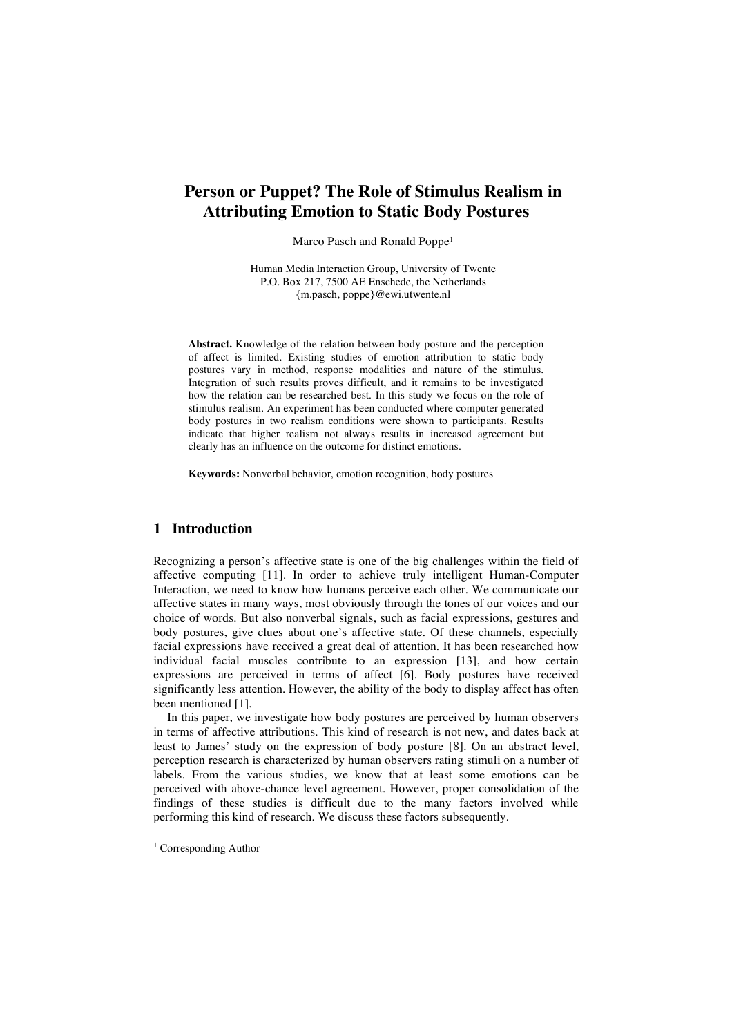# **Person or Puppet? The Role of Stimulus Realism in Attributing Emotion to Static Body Postures**

Marco Pasch and Ronald Poppe<sup>1</sup>

Human Media Interaction Group, University of Twente P.O. Box 217, 7500 AE Enschede, the Netherlands {m.pasch, poppe}@ewi.utwente.nl

**Abstract.** Knowledge of the relation between body posture and the perception of affect is limited. Existing studies of emotion attribution to static body postures vary in method, response modalities and nature of the stimulus. Integration of such results proves difficult, and it remains to be investigated how the relation can be researched best. In this study we focus on the role of stimulus realism. An experiment has been conducted where computer generated body postures in two realism conditions were shown to participants. Results indicate that higher realism not always results in increased agreement but clearly has an influence on the outcome for distinct emotions.

**Keywords:** Nonverbal behavior, emotion recognition, body postures

## **1 Introduction**

Recognizing a person's affective state is one of the big challenges within the field of affective computing [11]. In order to achieve truly intelligent Human-Computer Interaction, we need to know how humans perceive each other. We communicate our affective states in many ways, most obviously through the tones of our voices and our choice of words. But also nonverbal signals, such as facial expressions, gestures and body postures, give clues about one's affective state. Of these channels, especially facial expressions have received a great deal of attention. It has been researched how individual facial muscles contribute to an expression [13], and how certain expressions are perceived in terms of affect [6]. Body postures have received significantly less attention. However, the ability of the body to display affect has often been mentioned [1].

In this paper, we investigate how body postures are perceived by human observers in terms of affective attributions. This kind of research is not new, and dates back at least to James' study on the expression of body posture [8]. On an abstract level, perception research is characterized by human observers rating stimuli on a number of labels. From the various studies, we know that at least some emotions can be perceived with above-chance level agreement. However, proper consolidation of the findings of these studies is difficult due to the many factors involved while performing this kind of research. We discuss these factors subsequently.

<sup>&</sup>lt;sup>1</sup> Corresponding Author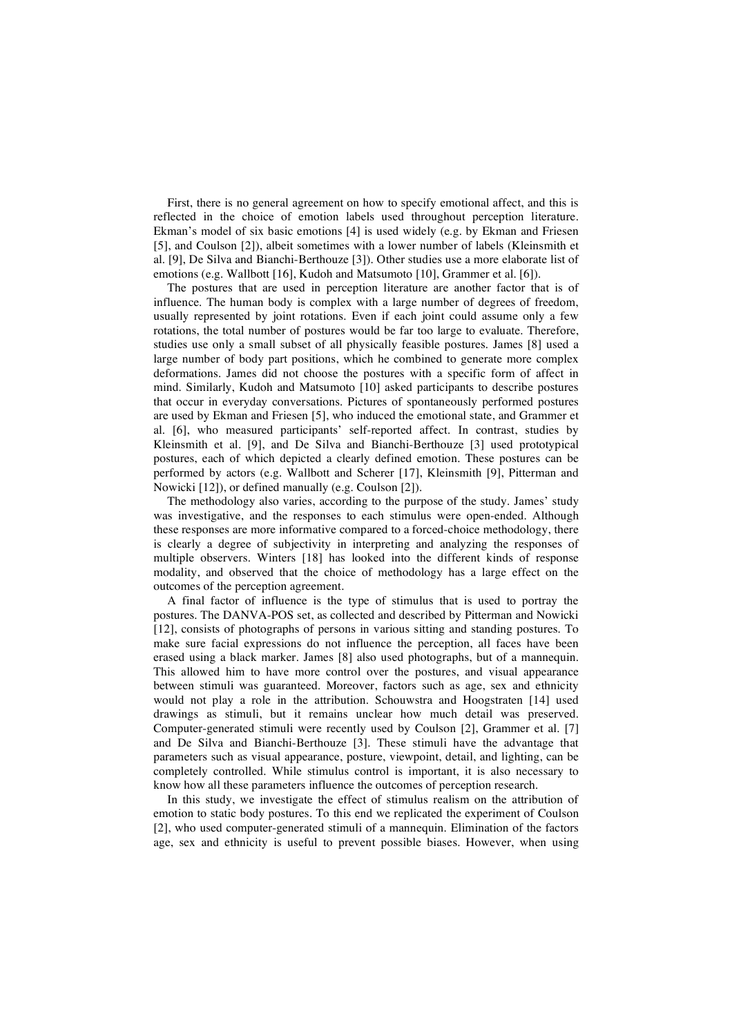First, there is no general agreement on how to specify emotional affect, and this is reflected in the choice of emotion labels used throughout perception literature. Ekman's model of six basic emotions [4] is used widely (e.g. by Ekman and Friesen [5], and Coulson [2]), albeit sometimes with a lower number of labels (Kleinsmith et al. [9], De Silva and Bianchi-Berthouze [3]). Other studies use a more elaborate list of emotions (e.g. Wallbott [16], Kudoh and Matsumoto [10], Grammer et al. [6]).

The postures that are used in perception literature are another factor that is of influence. The human body is complex with a large number of degrees of freedom, usually represented by joint rotations. Even if each joint could assume only a few rotations, the total number of postures would be far too large to evaluate. Therefore, studies use only a small subset of all physically feasible postures. James [8] used a large number of body part positions, which he combined to generate more complex deformations. James did not choose the postures with a specific form of affect in mind. Similarly, Kudoh and Matsumoto [10] asked participants to describe postures that occur in everyday conversations. Pictures of spontaneously performed postures are used by Ekman and Friesen [5], who induced the emotional state, and Grammer et al. [6], who measured participants' self-reported affect. In contrast, studies by Kleinsmith et al. [9], and De Silva and Bianchi-Berthouze [3] used prototypical postures, each of which depicted a clearly defined emotion. These postures can be performed by actors (e.g. Wallbott and Scherer [17], Kleinsmith [9], Pitterman and Nowicki [12]), or defined manually (e.g. Coulson [2]).

The methodology also varies, according to the purpose of the study. James' study was investigative, and the responses to each stimulus were open-ended. Although these responses are more informative compared to a forced-choice methodology, there is clearly a degree of subjectivity in interpreting and analyzing the responses of multiple observers. Winters [18] has looked into the different kinds of response modality, and observed that the choice of methodology has a large effect on the outcomes of the perception agreement.

A final factor of influence is the type of stimulus that is used to portray the postures. The DANVA-POS set, as collected and described by Pitterman and Nowicki [12], consists of photographs of persons in various sitting and standing postures. To make sure facial expressions do not influence the perception, all faces have been erased using a black marker. James [8] also used photographs, but of a mannequin. This allowed him to have more control over the postures, and visual appearance between stimuli was guaranteed. Moreover, factors such as age, sex and ethnicity would not play a role in the attribution. Schouwstra and Hoogstraten [14] used drawings as stimuli, but it remains unclear how much detail was preserved. Computer-generated stimuli were recently used by Coulson [2], Grammer et al. [7] and De Silva and Bianchi-Berthouze [3]. These stimuli have the advantage that parameters such as visual appearance, posture, viewpoint, detail, and lighting, can be completely controlled. While stimulus control is important, it is also necessary to know how all these parameters influence the outcomes of perception research.

In this study, we investigate the effect of stimulus realism on the attribution of emotion to static body postures. To this end we replicated the experiment of Coulson [2], who used computer-generated stimuli of a mannequin. Elimination of the factors age, sex and ethnicity is useful to prevent possible biases. However, when using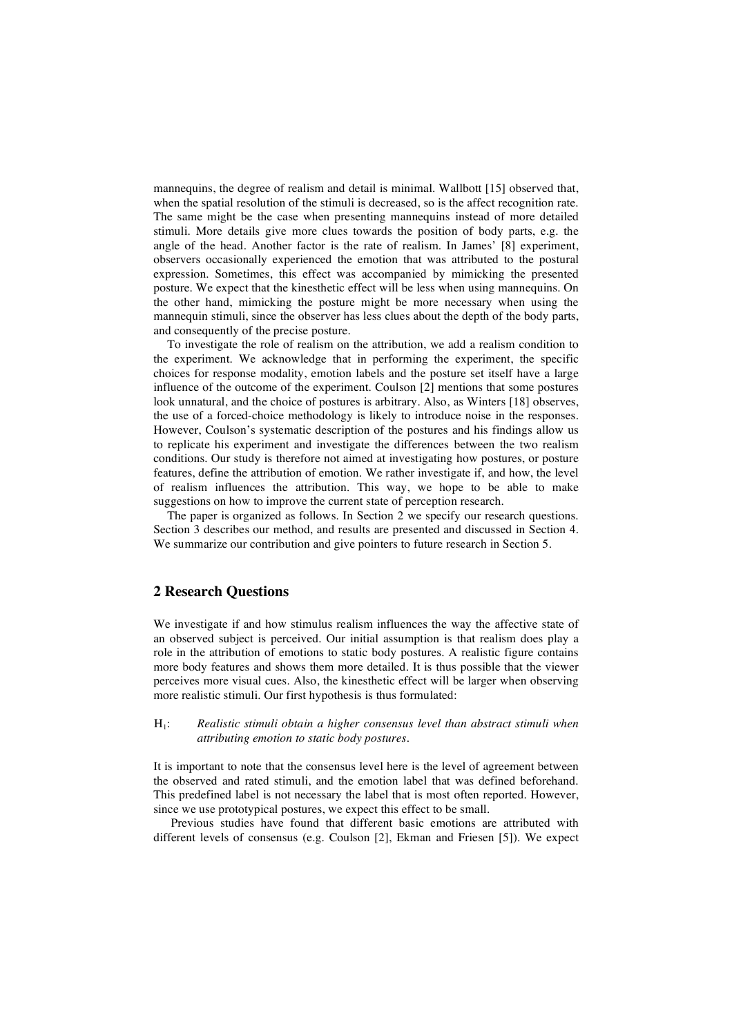mannequins, the degree of realism and detail is minimal. Wallbott [15] observed that, when the spatial resolution of the stimuli is decreased, so is the affect recognition rate. The same might be the case when presenting mannequins instead of more detailed stimuli. More details give more clues towards the position of body parts, e.g. the angle of the head. Another factor is the rate of realism. In James' [8] experiment, observers occasionally experienced the emotion that was attributed to the postural expression. Sometimes, this effect was accompanied by mimicking the presented posture. We expect that the kinesthetic effect will be less when using mannequins. On the other hand, mimicking the posture might be more necessary when using the mannequin stimuli, since the observer has less clues about the depth of the body parts, and consequently of the precise posture.

To investigate the role of realism on the attribution, we add a realism condition to the experiment. We acknowledge that in performing the experiment, the specific choices for response modality, emotion labels and the posture set itself have a large influence of the outcome of the experiment. Coulson [2] mentions that some postures look unnatural, and the choice of postures is arbitrary. Also, as Winters [18] observes, the use of a forced-choice methodology is likely to introduce noise in the responses. However, Coulson's systematic description of the postures and his findings allow us to replicate his experiment and investigate the differences between the two realism conditions. Our study is therefore not aimed at investigating how postures, or posture features, define the attribution of emotion. We rather investigate if, and how, the level of realism influences the attribution. This way, we hope to be able to make suggestions on how to improve the current state of perception research.

The paper is organized as follows. In Section 2 we specify our research questions. Section 3 describes our method, and results are presented and discussed in Section 4. We summarize our contribution and give pointers to future research in Section 5.

#### **2 Research Questions**

We investigate if and how stimulus realism influences the way the affective state of an observed subject is perceived. Our initial assumption is that realism does play a role in the attribution of emotions to static body postures. A realistic figure contains more body features and shows them more detailed. It is thus possible that the viewer perceives more visual cues. Also, the kinesthetic effect will be larger when observing more realistic stimuli. Our first hypothesis is thus formulated:

#### H1: *Realistic stimuli obtain a higher consensus level than abstract stimuli when attributing emotion to static body postures.*

It is important to note that the consensus level here is the level of agreement between the observed and rated stimuli, and the emotion label that was defined beforehand. This predefined label is not necessary the label that is most often reported. However, since we use prototypical postures, we expect this effect to be small.

Previous studies have found that different basic emotions are attributed with different levels of consensus (e.g. Coulson [2], Ekman and Friesen [5]). We expect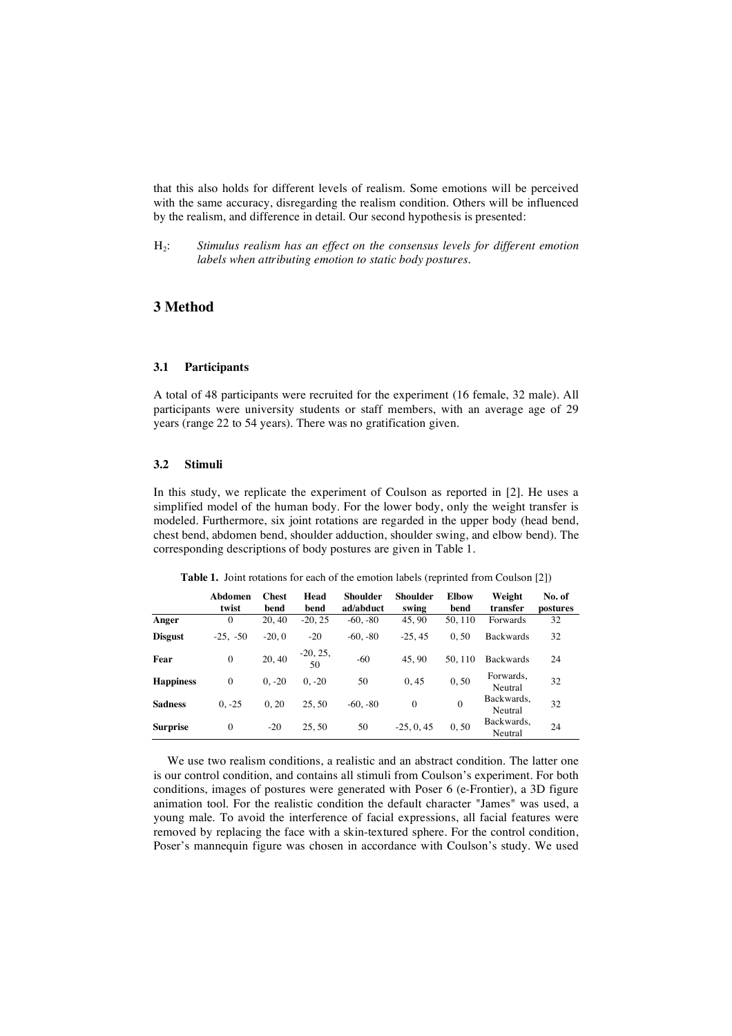that this also holds for different levels of realism. Some emotions will be perceived with the same accuracy, disregarding the realism condition. Others will be influenced by the realism, and difference in detail. Our second hypothesis is presented:

H2: *Stimulus realism has an effect on the consensus levels for different emotion labels when attributing emotion to static body postures.*

## **3 Method**

#### **3.1 Participants**

A total of 48 participants were recruited for the experiment (16 female, 32 male). All participants were university students or staff members, with an average age of 29 years (range 22 to 54 years). There was no gratification given.

#### **3.2 Stimuli**

In this study, we replicate the experiment of Coulson as reported in [2]. He uses a simplified model of the human body. For the lower body, only the weight transfer is modeled. Furthermore, six joint rotations are regarded in the upper body (head bend, chest bend, abdomen bend, shoulder adduction, shoulder swing, and elbow bend). The corresponding descriptions of body postures are given in Table 1.

**Table 1.** Joint rotations for each of the emotion labels (reprinted from Coulson [2])

|                  | Abdomen<br>twist | <b>Chest</b><br>bend | Head<br>bend     | <b>Shoulder</b><br>ad/abduct | Shoulder<br>swing | <b>Elbow</b><br>bend | Weight<br>transfer    | No. of<br>postures |
|------------------|------------------|----------------------|------------------|------------------------------|-------------------|----------------------|-----------------------|--------------------|
| Anger            | $\Omega$         | 20, 40               | $-20.25$         | $-60, -80$                   | 45,90             | 50, 110              | Forwards              | 32                 |
| <b>Disgust</b>   | $-25, -50$       | $-20.0$              | $-20$            | $-60, -80$                   | $-25, 45$         | 0, 50                | <b>Backwards</b>      | 32                 |
| Fear             | $\mathbf{0}$     | 20, 40               | $-20, 25,$<br>50 | $-60$                        | 45.90             | 50.110               | <b>Backwards</b>      | 24                 |
| <b>Happiness</b> | $\mathbf{0}$     | $0. -20$             | $0. -20$         | 50                           | 0.45              | 0, 50                | Forwards.<br>Neutral  | 32                 |
| <b>Sadness</b>   | $0, -25$         | 0.20                 | 25.50            | $-60, -80$                   | $\mathbf{0}$      | $\Omega$             | Backwards,<br>Neutral | 32                 |
| <b>Surprise</b>  | $\mathbf{0}$     | $-20$                | 25, 50           | 50                           | $-25, 0, 45$      | 0.50                 | Backwards,<br>Neutral | 24                 |

We use two realism conditions, a realistic and an abstract condition. The latter one is our control condition, and contains all stimuli from Coulson's experiment. For both conditions, images of postures were generated with Poser 6 (e-Frontier), a 3D figure animation tool. For the realistic condition the default character "James" was used, a young male. To avoid the interference of facial expressions, all facial features were removed by replacing the face with a skin-textured sphere. For the control condition, Poser's mannequin figure was chosen in accordance with Coulson's study. We used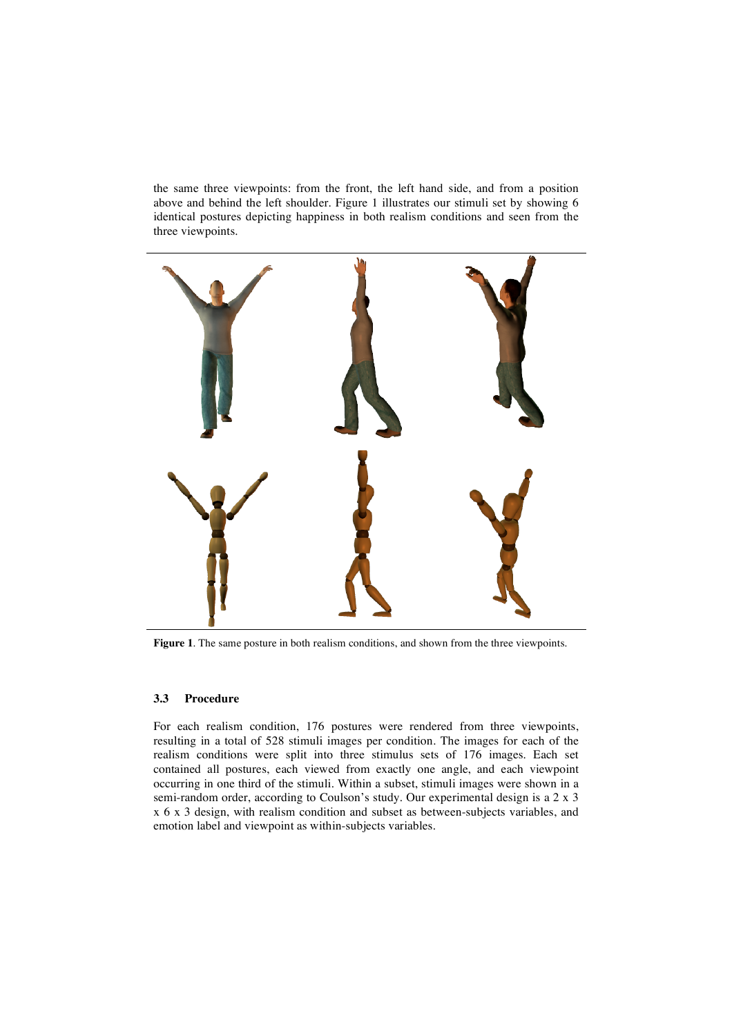the same three viewpoints: from the front, the left hand side, and from a position above and behind the left shoulder. Figure 1 illustrates our stimuli set by showing 6 identical postures depicting happiness in both realism conditions and seen from the three viewpoints.



**Figure 1**. The same posture in both realism conditions, and shown from the three viewpoints.

#### **3.3 Procedure**

For each realism condition, 176 postures were rendered from three viewpoints, resulting in a total of 528 stimuli images per condition. The images for each of the realism conditions were split into three stimulus sets of 176 images. Each set contained all postures, each viewed from exactly one angle, and each viewpoint occurring in one third of the stimuli. Within a subset, stimuli images were shown in a semi-random order, according to Coulson's study. Our experimental design is a 2 x 3 x 6 x 3 design, with realism condition and subset as between-subjects variables, and emotion label and viewpoint as within-subjects variables.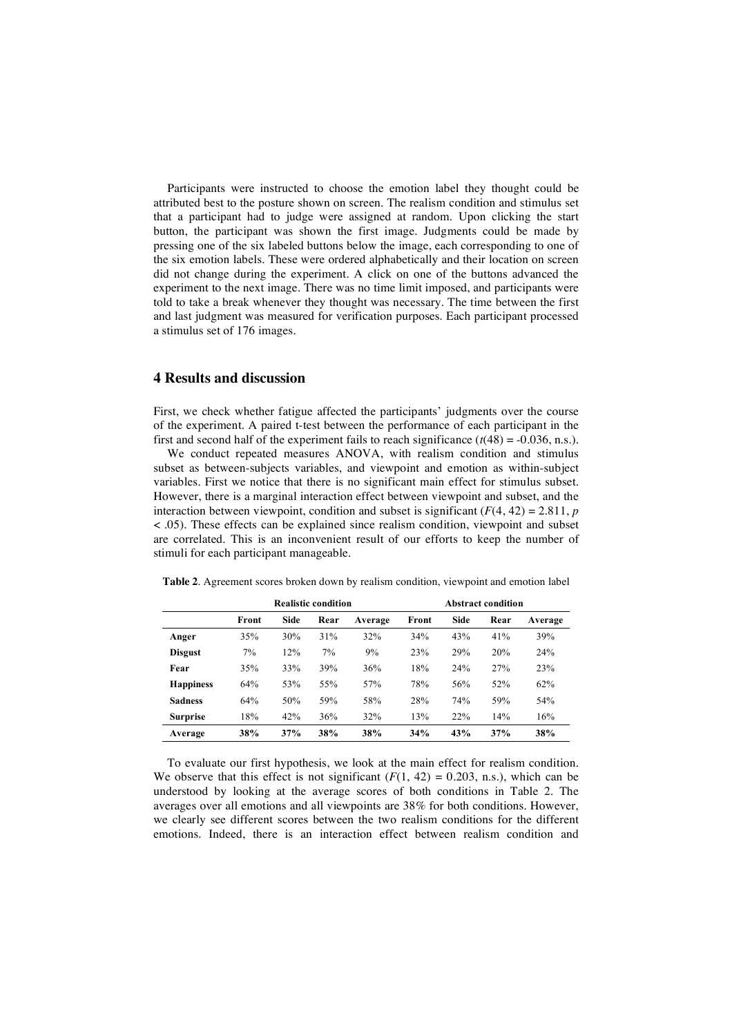Participants were instructed to choose the emotion label they thought could be attributed best to the posture shown on screen. The realism condition and stimulus set that a participant had to judge were assigned at random. Upon clicking the start button, the participant was shown the first image. Judgments could be made by pressing one of the six labeled buttons below the image, each corresponding to one of the six emotion labels. These were ordered alphabetically and their location on screen did not change during the experiment. A click on one of the buttons advanced the experiment to the next image. There was no time limit imposed, and participants were told to take a break whenever they thought was necessary. The time between the first and last judgment was measured for verification purposes. Each participant processed a stimulus set of 176 images.

#### **4 Results and discussion**

First, we check whether fatigue affected the participants' judgments over the course of the experiment. A paired t-test between the performance of each participant in the first and second half of the experiment fails to reach significance  $(t(48) = -0.036, n.s.).$ 

We conduct repeated measures ANOVA, with realism condition and stimulus subset as between-subjects variables, and viewpoint and emotion as within-subject variables. First we notice that there is no significant main effect for stimulus subset. However, there is a marginal interaction effect between viewpoint and subset, and the interaction between viewpoint, condition and subset is significant  $(F(4, 42) = 2.811, p$ < .05). These effects can be explained since realism condition, viewpoint and subset are correlated. This is an inconvenient result of our efforts to keep the number of stimuli for each participant manageable.

|                  |       |             | <b>Realistic condition</b> |                 |       | <b>Abstract condition</b> |      |         |
|------------------|-------|-------------|----------------------------|-----------------|-------|---------------------------|------|---------|
|                  | Front | <b>Side</b> | Rear                       | Average         | Front | <b>Side</b>               | Rear | Average |
| Anger            | 35%   | 30%         | 31%                        | 32%             | 34%   | 43%                       | 41%  | 39%     |
| <b>Disgust</b>   | 7%    | 12%         | 7%                         | 9%              | 23%   | 29%                       | 20%  | 24%     |
| Fear             | 35%   | 33%         | 39%                        | 36%             | 18%   | 24%                       | 27%  | 23%     |
| <b>Happiness</b> | 64%   | 53%         | 55%                        | 57 <sub>%</sub> | 78%   | 56%                       | 52%  | 62%     |
| <b>Sadness</b>   | 64%   | 50%         | 59%                        | 58%             | 28%   | 74%                       | 59%  | 54%     |
| <b>Surprise</b>  | 18%   | 42%         | 36%                        | 32%             | 13%   | 22%                       | 14%  | 16%     |
| Average          | 38%   | 37%         | 38%                        | 38%             | 34%   | 43%                       | 37%  | 38%     |

**Table 2**. Agreement scores broken down by realism condition, viewpoint and emotion label

To evaluate our first hypothesis, we look at the main effect for realism condition. We observe that this effect is not significant  $(F(1, 42) = 0.203, n.s.)$ , which can be understood by looking at the average scores of both conditions in Table 2. The averages over all emotions and all viewpoints are 38% for both conditions. However, we clearly see different scores between the two realism conditions for the different emotions. Indeed, there is an interaction effect between realism condition and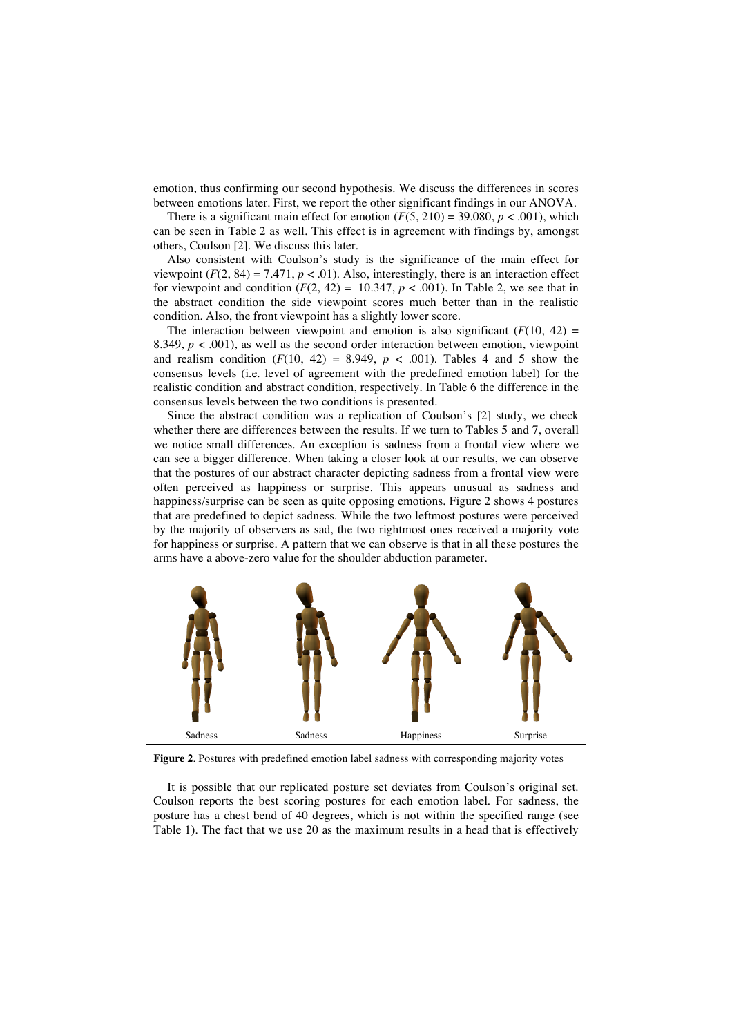emotion, thus confirming our second hypothesis. We discuss the differences in scores between emotions later. First, we report the other significant findings in our ANOVA.

There is a significant main effect for emotion  $(F(5, 210) = 39.080, p < .001)$ , which can be seen in Table 2 as well. This effect is in agreement with findings by, amongst others, Coulson [2]. We discuss this later.

Also consistent with Coulson's study is the significance of the main effect for viewpoint  $(F(2, 84) = 7.471, p < .01)$ . Also, interestingly, there is an interaction effect for viewpoint and condition  $(F(2, 42) = 10.347, p < .001)$ . In Table 2, we see that in the abstract condition the side viewpoint scores much better than in the realistic condition. Also, the front viewpoint has a slightly lower score.

The interaction between viewpoint and emotion is also significant  $(F(10, 42) =$ 8.349,  $p < .001$ ), as well as the second order interaction between emotion, viewpoint and realism condition  $(F(10, 42) = 8.949, p < .001)$ . Tables 4 and 5 show the consensus levels (i.e. level of agreement with the predefined emotion label) for the realistic condition and abstract condition, respectively. In Table 6 the difference in the consensus levels between the two conditions is presented.

Since the abstract condition was a replication of Coulson's [2] study, we check whether there are differences between the results. If we turn to Tables 5 and 7, overall we notice small differences. An exception is sadness from a frontal view where we can see a bigger difference. When taking a closer look at our results, we can observe that the postures of our abstract character depicting sadness from a frontal view were often perceived as happiness or surprise. This appears unusual as sadness and happiness/surprise can be seen as quite opposing emotions. Figure 2 shows 4 postures that are predefined to depict sadness. While the two leftmost postures were perceived by the majority of observers as sad, the two rightmost ones received a majority vote for happiness or surprise. A pattern that we can observe is that in all these postures the arms have a above-zero value for the shoulder abduction parameter.



**Figure 2**. Postures with predefined emotion label sadness with corresponding majority votes

It is possible that our replicated posture set deviates from Coulson's original set. Coulson reports the best scoring postures for each emotion label. For sadness, the posture has a chest bend of 40 degrees, which is not within the specified range (see Table 1). The fact that we use 20 as the maximum results in a head that is effectively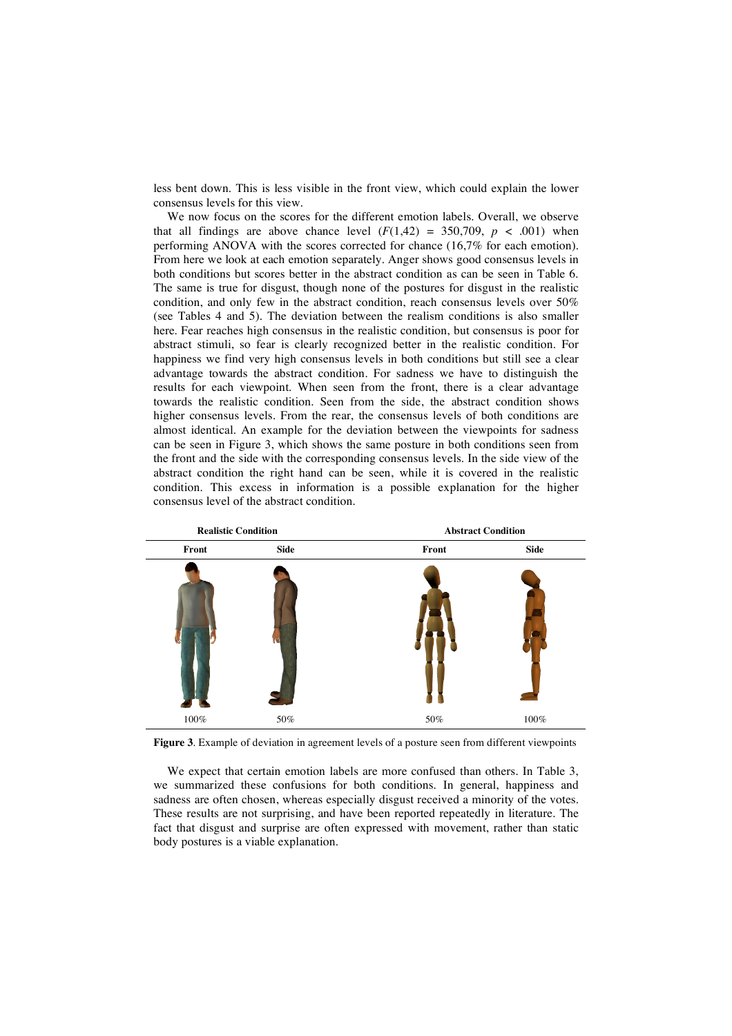less bent down. This is less visible in the front view, which could explain the lower consensus levels for this view.

We now focus on the scores for the different emotion labels. Overall, we observe that all findings are above chance level  $(F(1,42) = 350,709, p < .001)$  when performing ANOVA with the scores corrected for chance (16,7% for each emotion). From here we look at each emotion separately. Anger shows good consensus levels in both conditions but scores better in the abstract condition as can be seen in Table 6. The same is true for disgust, though none of the postures for disgust in the realistic condition, and only few in the abstract condition, reach consensus levels over 50% (see Tables 4 and 5). The deviation between the realism conditions is also smaller here. Fear reaches high consensus in the realistic condition, but consensus is poor for abstract stimuli, so fear is clearly recognized better in the realistic condition. For happiness we find very high consensus levels in both conditions but still see a clear advantage towards the abstract condition. For sadness we have to distinguish the results for each viewpoint. When seen from the front, there is a clear advantage towards the realistic condition. Seen from the side, the abstract condition shows higher consensus levels. From the rear, the consensus levels of both conditions are almost identical. An example for the deviation between the viewpoints for sadness can be seen in Figure 3, which shows the same posture in both conditions seen from the front and the side with the corresponding consensus levels. In the side view of the abstract condition the right hand can be seen, while it is covered in the realistic condition. This excess in information is a possible explanation for the higher consensus level of the abstract condition.



**Figure 3**. Example of deviation in agreement levels of a posture seen from different viewpoints

We expect that certain emotion labels are more confused than others. In Table 3, we summarized these confusions for both conditions. In general, happiness and sadness are often chosen, whereas especially disgust received a minority of the votes. These results are not surprising, and have been reported repeatedly in literature. The fact that disgust and surprise are often expressed with movement, rather than static body postures is a viable explanation.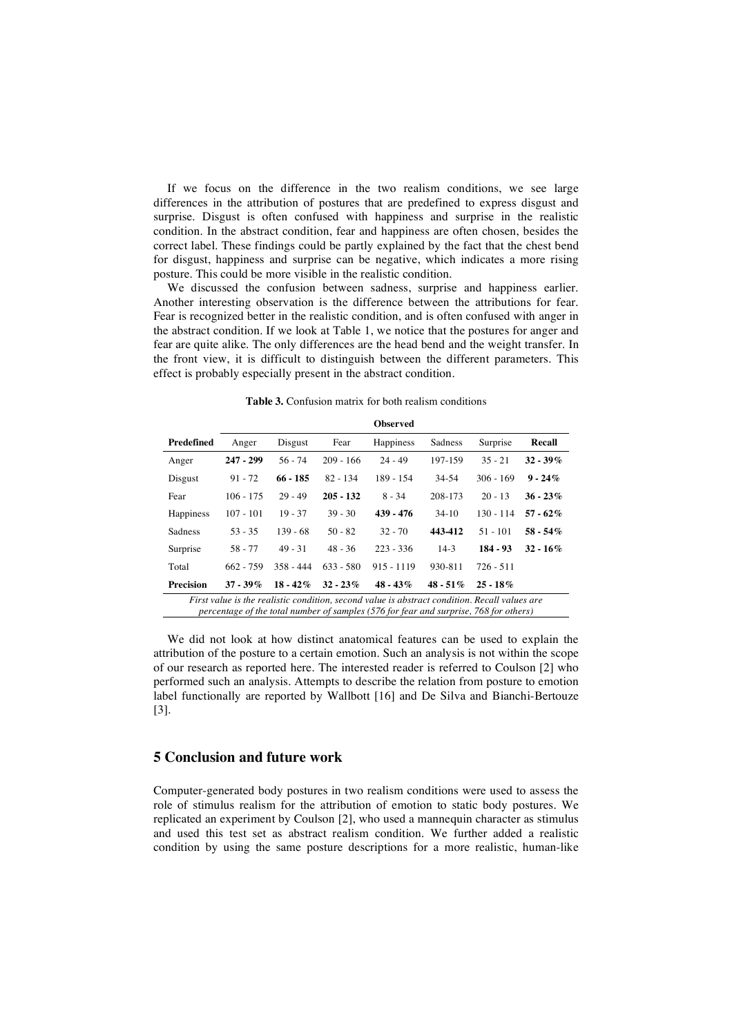If we focus on the difference in the two realism conditions, we see large differences in the attribution of postures that are predefined to express disgust and surprise. Disgust is often confused with happiness and surprise in the realistic condition. In the abstract condition, fear and happiness are often chosen, besides the correct label. These findings could be partly explained by the fact that the chest bend for disgust, happiness and surprise can be negative, which indicates a more rising posture. This could be more visible in the realistic condition.

We discussed the confusion between sadness, surprise and happiness earlier. Another interesting observation is the difference between the attributions for fear. Fear is recognized better in the realistic condition, and is often confused with anger in the abstract condition. If we look at Table 1, we notice that the postures for anger and fear are quite alike. The only differences are the head bend and the weight transfer. In the front view, it is difficult to distinguish between the different parameters. This effect is probably especially present in the abstract condition.

|                                                                                                                                                                                        |             |             |             | <b>Observed</b> |             |             |             |  |  |  |  |
|----------------------------------------------------------------------------------------------------------------------------------------------------------------------------------------|-------------|-------------|-------------|-----------------|-------------|-------------|-------------|--|--|--|--|
| Predefined                                                                                                                                                                             | Anger       | Disgust     | Fear        | Happiness       | Sadness     | Surprise    | Recall      |  |  |  |  |
| Anger                                                                                                                                                                                  | $247 - 299$ | $56 - 74$   | $209 - 166$ | $24 - 49$       | 197-159     | $35 - 21$   | $32 - 39\%$ |  |  |  |  |
| Disgust                                                                                                                                                                                | $91 - 72$   | 66 - 185    | $82 - 134$  | 189 - 154       | 34-54       | $306 - 169$ | $9 - 24%$   |  |  |  |  |
| Fear                                                                                                                                                                                   | $106 - 175$ | $29 - 49$   | $205 - 132$ | $8 - 34$        | 208-173     | $20 - 13$   | $36 - 23%$  |  |  |  |  |
| Happiness                                                                                                                                                                              | $107 - 101$ | $19 - 37$   | $39 - 30$   | 439 - 476       | $34-10$     | $130 - 114$ | $57 - 62\%$ |  |  |  |  |
| Sadness                                                                                                                                                                                | $53 - 35$   | $139 - 68$  | $50 - 82$   | $32 - 70$       | 443-412     | $51 - 101$  | $58 - 54\%$ |  |  |  |  |
| Surprise                                                                                                                                                                               | $58 - 77$   | $49 - 31$   | $48 - 36$   | $223 - 336$     | $14-3$      | $184 - 93$  | $32 - 16\%$ |  |  |  |  |
| Total                                                                                                                                                                                  | 662 - 759   | $358 - 444$ | $633 - 580$ | $915 - 1119$    | 930-811     | $726 - 511$ |             |  |  |  |  |
| <b>Precision</b>                                                                                                                                                                       | $37 - 39\%$ | $18 - 42\%$ | $32 - 23\%$ | $48 - 43\%$     | $48 - 51\%$ | $25 - 18\%$ |             |  |  |  |  |
| First value is the realistic condition, second value is abstract condition. Recall values are<br>percentage of the total number of samples (576 for fear and surprise, 768 for others) |             |             |             |                 |             |             |             |  |  |  |  |

**Table 3.** Confusion matrix for both realism conditions

We did not look at how distinct anatomical features can be used to explain the attribution of the posture to a certain emotion. Such an analysis is not within the scope of our research as reported here. The interested reader is referred to Coulson [2] who performed such an analysis. Attempts to describe the relation from posture to emotion label functionally are reported by Wallbott [16] and De Silva and Bianchi-Bertouze [3].

#### **5 Conclusion and future work**

Computer-generated body postures in two realism conditions were used to assess the role of stimulus realism for the attribution of emotion to static body postures. We replicated an experiment by Coulson [2], who used a mannequin character as stimulus and used this test set as abstract realism condition. We further added a realistic condition by using the same posture descriptions for a more realistic, human-like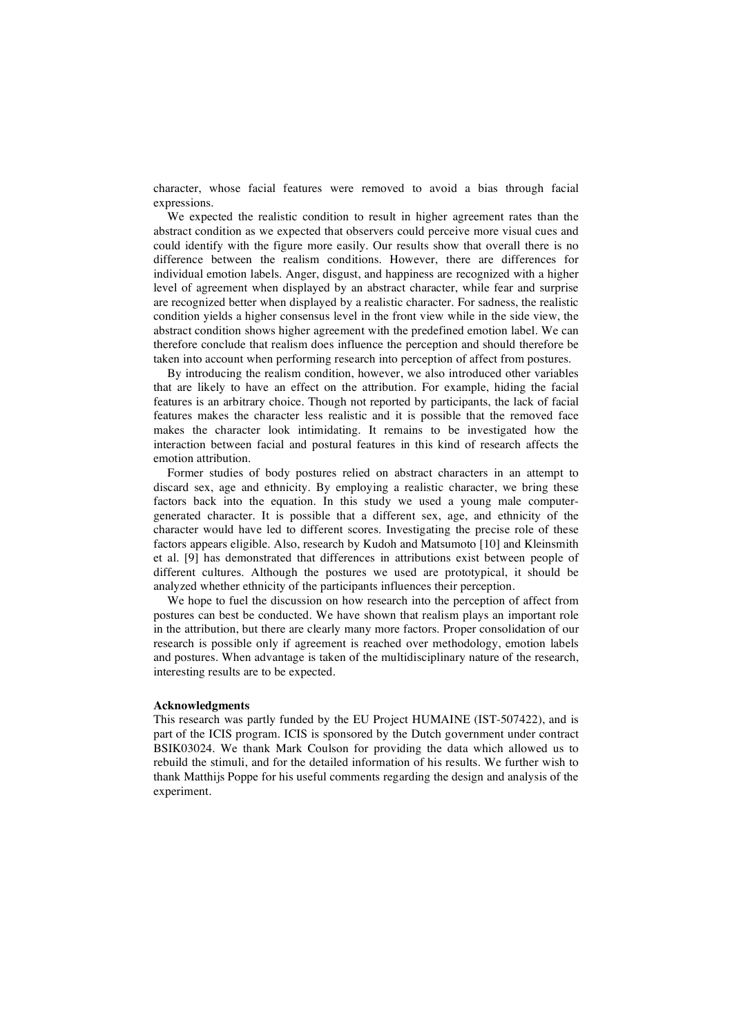character, whose facial features were removed to avoid a bias through facial expressions.

We expected the realistic condition to result in higher agreement rates than the abstract condition as we expected that observers could perceive more visual cues and could identify with the figure more easily. Our results show that overall there is no difference between the realism conditions. However, there are differences for individual emotion labels. Anger, disgust, and happiness are recognized with a higher level of agreement when displayed by an abstract character, while fear and surprise are recognized better when displayed by a realistic character. For sadness, the realistic condition yields a higher consensus level in the front view while in the side view, the abstract condition shows higher agreement with the predefined emotion label. We can therefore conclude that realism does influence the perception and should therefore be taken into account when performing research into perception of affect from postures.

By introducing the realism condition, however, we also introduced other variables that are likely to have an effect on the attribution. For example, hiding the facial features is an arbitrary choice. Though not reported by participants, the lack of facial features makes the character less realistic and it is possible that the removed face makes the character look intimidating. It remains to be investigated how the interaction between facial and postural features in this kind of research affects the emotion attribution.

Former studies of body postures relied on abstract characters in an attempt to discard sex, age and ethnicity. By employing a realistic character, we bring these factors back into the equation. In this study we used a young male computergenerated character. It is possible that a different sex, age, and ethnicity of the character would have led to different scores. Investigating the precise role of these factors appears eligible. Also, research by Kudoh and Matsumoto [10] and Kleinsmith et al. [9] has demonstrated that differences in attributions exist between people of different cultures. Although the postures we used are prototypical, it should be analyzed whether ethnicity of the participants influences their perception.

We hope to fuel the discussion on how research into the perception of affect from postures can best be conducted. We have shown that realism plays an important role in the attribution, but there are clearly many more factors. Proper consolidation of our research is possible only if agreement is reached over methodology, emotion labels and postures. When advantage is taken of the multidisciplinary nature of the research, interesting results are to be expected.

#### **Acknowledgments**

This research was partly funded by the EU Project HUMAINE (IST-507422), and is part of the ICIS program. ICIS is sponsored by the Dutch government under contract BSIK03024. We thank Mark Coulson for providing the data which allowed us to rebuild the stimuli, and for the detailed information of his results. We further wish to thank Matthijs Poppe for his useful comments regarding the design and analysis of the experiment.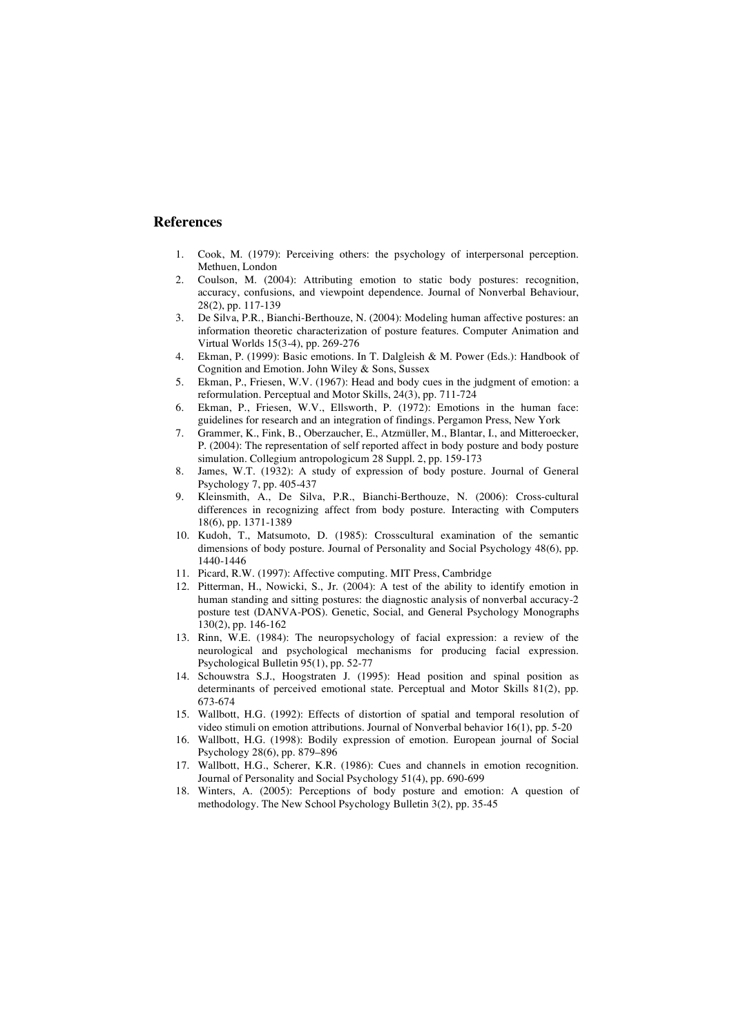## **References**

- 1. Cook, M. (1979): Perceiving others: the psychology of interpersonal perception. Methuen, London
- 2. Coulson, M. (2004): Attributing emotion to static body postures: recognition, accuracy, confusions, and viewpoint dependence. Journal of Nonverbal Behaviour, 28(2), pp. 117-139
- 3. De Silva, P.R., Bianchi-Berthouze, N. (2004): Modeling human affective postures: an information theoretic characterization of posture features. Computer Animation and Virtual Worlds 15(3-4), pp. 269-276
- 4. Ekman, P. (1999): Basic emotions. In T. Dalgleish & M. Power (Eds.): Handbook of Cognition and Emotion. John Wiley & Sons, Sussex
- 5. Ekman, P., Friesen, W.V. (1967): Head and body cues in the judgment of emotion: a reformulation. Perceptual and Motor Skills, 24(3), pp. 711-724
- 6. Ekman, P., Friesen, W.V., Ellsworth, P. (1972): Emotions in the human face: guidelines for research and an integration of findings. Pergamon Press, New York
- 7. Grammer, K., Fink, B., Oberzaucher, E., Atzmüller, M., Blantar, I., and Mitteroecker, P. (2004): The representation of self reported affect in body posture and body posture simulation. Collegium antropologicum 28 Suppl. 2, pp. 159-173
- 8. James, W.T. (1932): A study of expression of body posture. Journal of General Psychology 7, pp. 405-437
- 9. Kleinsmith, A., De Silva, P.R., Bianchi-Berthouze, N. (2006): Cross-cultural differences in recognizing affect from body posture. Interacting with Computers 18(6), pp. 1371-1389
- 10. Kudoh, T., Matsumoto, D. (1985): Crosscultural examination of the semantic dimensions of body posture. Journal of Personality and Social Psychology 48(6), pp. 1440-1446
- 11. Picard, R.W. (1997): Affective computing. MIT Press, Cambridge
- 12. Pitterman, H., Nowicki, S., Jr. (2004): A test of the ability to identify emotion in human standing and sitting postures: the diagnostic analysis of nonverbal accuracy-2 posture test (DANVA-POS). Genetic, Social, and General Psychology Monographs 130(2), pp. 146-162
- 13. Rinn, W.E. (1984): The neuropsychology of facial expression: a review of the neurological and psychological mechanisms for producing facial expression. Psychological Bulletin 95(1), pp. 52-77
- 14. Schouwstra S.J., Hoogstraten J. (1995): Head position and spinal position as determinants of perceived emotional state. Perceptual and Motor Skills 81(2), pp. 673-674
- 15. Wallbott, H.G. (1992): Effects of distortion of spatial and temporal resolution of video stimuli on emotion attributions. Journal of Nonverbal behavior 16(1), pp. 5-20
- 16. Wallbott, H.G. (1998): Bodily expression of emotion. European journal of Social Psychology 28(6), pp. 879–896
- 17. Wallbott, H.G., Scherer, K.R. (1986): Cues and channels in emotion recognition. Journal of Personality and Social Psychology 51(4), pp. 690-699
- 18. Winters, A. (2005): Perceptions of body posture and emotion: A question of methodology. The New School Psychology Bulletin 3(2), pp. 35-45